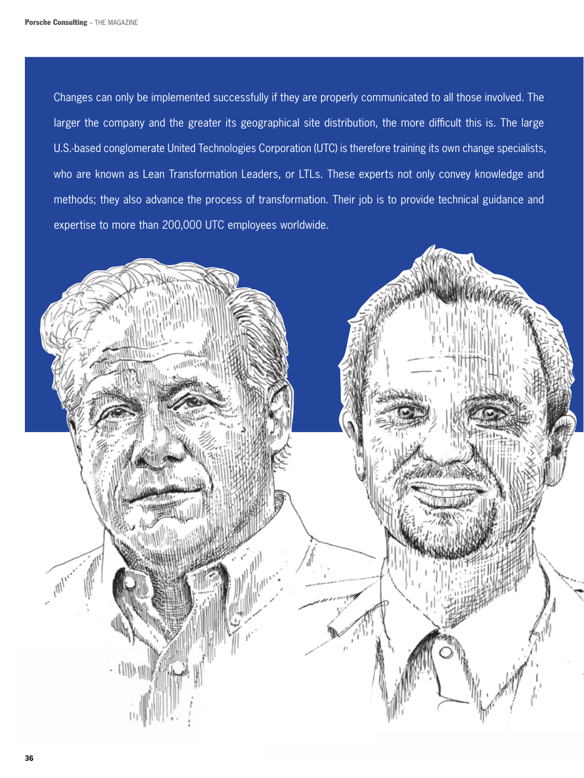Changes can only be implemented successfully if they are properly communicated to all those involved. The larger the company and the greater its geographical site distribution, the more difficult this is. The large U.S.-based conglomerate United Technologies Corporation (UTC) is therefore training its own change specialists, who are known as Lean Transformation Leaders, or LTLs. These experts not only convey knowledge and methods; they also advance the process of transformation. Their job is to provide technical guidance and expertise to more than 200,000 UTC employees worldwide.

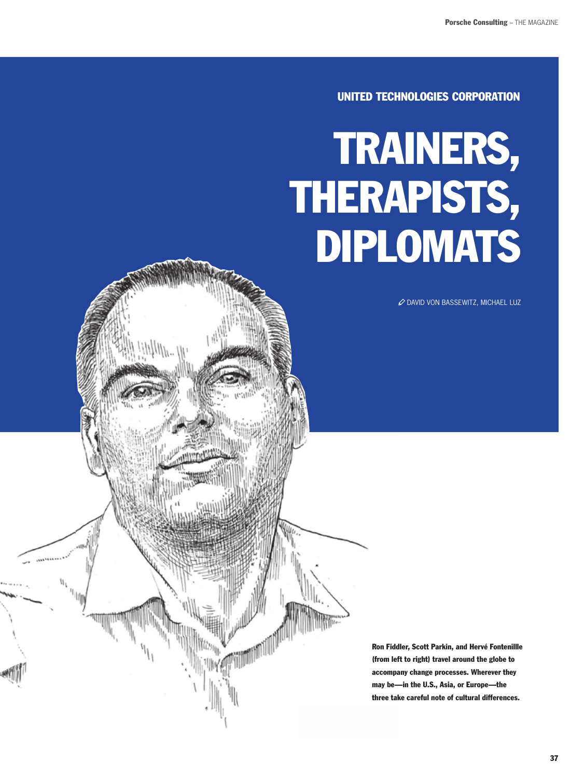UNITED TECHNOLOGIES CORPORATION

## TRAINERS, THERAPISTS, DIPLOMATS

O DAVID VON BASSEWITZ, MICHAEL LUZ

Ron Fiddler, Scott Parkin, and Hervé Fontenillle (from left to right) travel around the globe to accompany change processes. Wherever they may be-in the U.S., Asia, or Europe-the three take careful note of cultural differences.

 $1000$  Matters and  $\frac{1}{2}$ 

 $u_{\mathbf{k}}$  $\mathbf{q}_{\parallel \parallel \mathbf{p}}$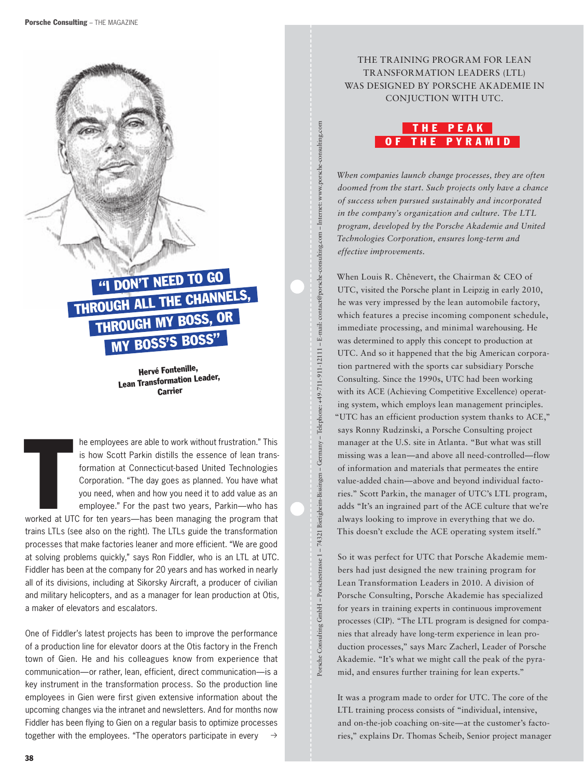

Carrier

the employees are able to work without frustration." This<br>is how Scott Parkin distills the essence of lean trans-<br>formation at Connecticut-based United Technologies<br>Corporation. "The day goes as planned. You have what<br>you he employees are able to work without frustration." This is how scott Parkin distills the essence of lean transformation at Connecticut-based United Technologies Corporation. "The day goes as planned. You have what you need, when and how you need it to add value as an employee." for the past two years, Parkin—who has

trains LTLs (see also on the right). The LTLs guide the transformation processes that make factories leaner and more efficient. "We are good at solving problems quickly," says Ron Fiddler, who is an LTL at UTC. fiddler has been at the company for 20 years and has worked in nearly all of its divisions, including at Sikorsky Aircraft, a producer of civilian and military helicopters, and as a manager for lean production at Otis, a maker of elevators and escalators.

 $\rightarrow$ one of fiddler's latest projects has been to improve the performance of a production line for elevator doors at the Otis factory in the French town of Gien. He and his colleagues know from experience that communication—or rather, lean, efficient, direct communication—is a key instrument in the transformation process. So the production line employees in gien were first given extensive information about the upcoming changes via the intranet and newsletters. And for months now Fiddler has been flying to Gien on a regular basis to optimize processes together with the employees. "The operators participate in every

## THE TRAINING PROGRAM FOR LEAN TRANSFORMATION LEADERS (LTL) WAS DESIGNED BY PORSCHE AKADEMIE IN CONJUCTION WITH UTC.



*When companies launch change processes, they are often doomed from the start. Such projects only have a chance of success when pursued sustainably and incorporated in the company's organization and culture. The LTL program, developed by the Porsche Akademie and United Technologies Corporation, ensures long-term and effective improvements.* 

When Louis R. Chênevert, the Chairman & CEO of UTC, visited the Porsche plant in Leipzig in early 2010, he was very impressed by the lean automobile factory, which features a precise incoming component schedule, immediate processing, and minimal warehousing. He was determined to apply this concept to production at UTC. And so it happened that the big American corporation partnered with the sports car subsidiary Porsche Consulting. Since the 1990s, UTC had been working with its ACE (Achieving Competitive Excellence) operating system, which employs lean management principles. "UTC has an efficient production system thanks to ACE," says Ronny Rudzinski, a Porsche Consulting project manager at the U.S. site in Atlanta. "But what was still missing was a lean—and above all need-controlled—flow of information and materials that permeates the entire value-added chain—above and beyond individual factories." Scott Parkin, the manager of UTC's LTL program, adds "It's an ingrained part of the ACE culture that we're always looking to improve in everything that we do. This doesn't exclude the ACE operating system itself."

Porsche Consulting GmbH – Porschestrasse 1 – 74321 Bietigheim-Bissingen – Germany – Telephone: +49-711-911-12111 – E-mail: contact@porsche-consulting.com – Internet: www.porsche-consulting.com

Porsche Consulting GmbH - Porschestrasse 1 - 74321 Bietigheim-Bissingen - Germany - Telephone: 449-711-911-12111 - E-mail: contact@porsche-consulting.com - Internet www.porsche-consulting.com

So it was perfect for UTC that Porsche Akademie members had just designed the new training program for Lean Transformation Leaders in 2010. A division of Porsche Consulting, Porsche Akademie has specialized for years in training experts in continuous improvement processes (CIP). "The LTL program is designed for companies that already have long-term experience in lean production processes," says Marc Zacherl, Leader of Porsche Akademie. "It's what we might call the peak of the pyramid, and ensures further training for lean experts."

It was a program made to order for UTC. The core of the LTL training process consists of "individual, intensive, and on-the-job coaching on-site—at the customer's factories," explains Dr. Thomas Scheib, Senior project manager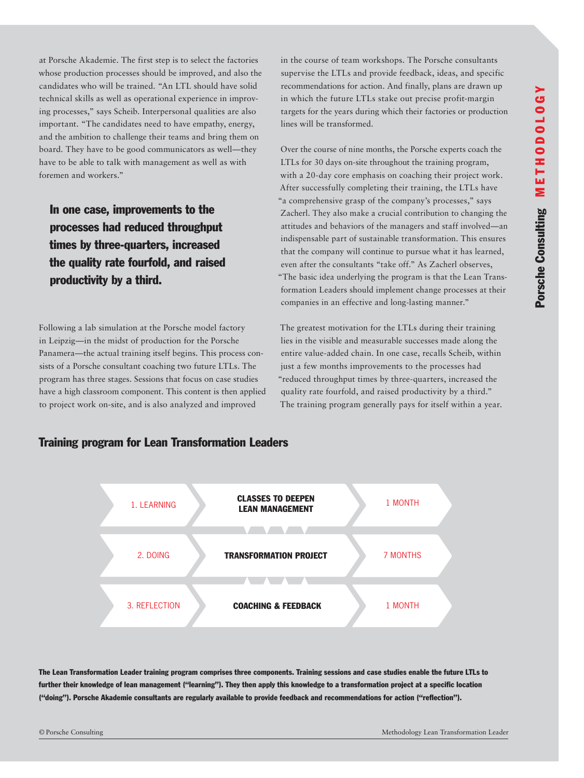at Porsche Akademie. The first step is to select the factories whose production processes should be improved, and also the candidates who will be trained. "An LTL should have solid technical skills as well as operational experience in improving processes," says Scheib. Interpersonal qualities are also important. "The candidates need to have empathy, energy, and the ambition to challenge their teams and bring them on board. They have to be good communicators as well—they have to be able to talk with management as well as with foremen and workers."

In one case, improvements to the processes had reduced throughput times by three-quarters, increased the quality rate fourfold, and raised productivity by a third.

Following a lab simulation at the Porsche model factory in Leipzig—in the midst of production for the Porsche Panamera—the actual training itself begins. This process consists of a Porsche consultant coaching two future LTLs. The program has three stages. Sessions that focus on case studies have a high classroom component. This content is then applied to project work on-site, and is also analyzed and improved

in the course of team workshops. The Porsche consultants supervise the LTLs and provide feedback, ideas, and specific recommendations for action. And finally, plans are drawn up in which the future LTLs stake out precise profit-margin targets for the years during which their factories or production lines will be transformed.

Over the course of nine months, the Porsche experts coach the LTLs for 30 days on-site throughout the training program, with a 20-day core emphasis on coaching their project work. After successfully completing their training, the LTLs have "a comprehensive grasp of the company's processes," says Zacherl. They also make a crucial contribution to changing the attitudes and behaviors of the managers and staff involved—an indispensable part of sustainable transformation. This ensures that the company will continue to pursue what it has learned, even after the consultants "take off." As Zacherl observes, "The basic idea underlying the program is that the Lean Transformation Leaders should implement change processes at their companies in an effective and long-lasting manner."

The greatest motivation for the LTLs during their training lies in the visible and measurable successes made along the entire value-added chain. In one case, recalls Scheib, within just a few months improvements to the processes had "reduced throughput times by three-quarters, increased the quality rate fourfold, and raised productivity by a third." The training program generally pays for itself within a year.

## Training program for Lean Transformation Leaders



The Lean Transformation Leader training program comprises three components. Training sessions and case studies enable the future LTLs to further their knowledge of lean management ("learning"). They then apply this knowledge to a transformation project at a specific location ("doing"). Porsche Akademie consultants are regularly available to provide feedback and recommendations for action ("reflection").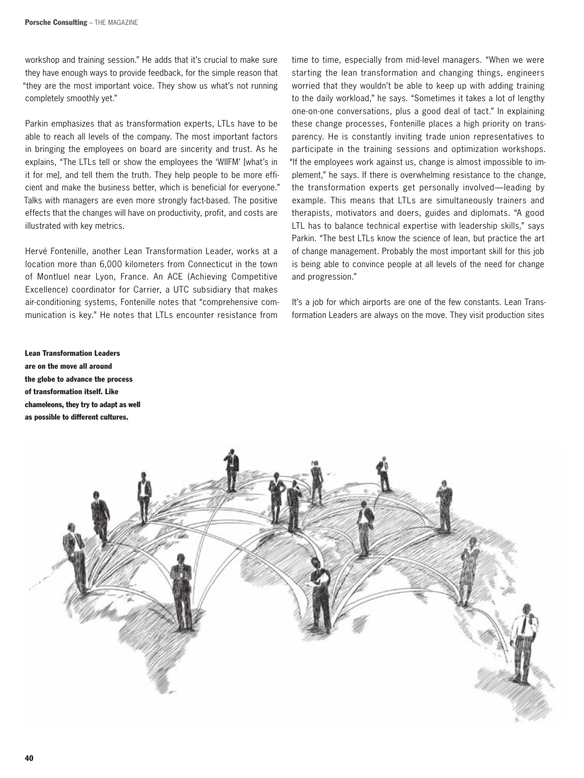workshop and training session." he adds that it's crucial to make sure they have enough ways to provide feedback, for the simple reason that "they are the most important voice. They show us what's not running completely smoothly yet."

Parkin emphasizes that as transformation experts, LTLs have to be able to reach all levels of the company. The most important factors in bringing the employees on board are sincerity and trust. As he explains, "The LTLs tell or show the employees the 'WIIFM' [what's in it for me], and tell them the truth. They help people to be more efficient and make the business better, which is beneficial for everyone." Talks with managers are even more strongly fact-based. The positive effects that the changes will have on productivity, profit, and costs are illustrated with key metrics.

Hervé Fontenille, another Lean Transformation Leader, works at a location more than 6,000 kilometers from connecticut in the town of Montluel near Lyon, France. An ACE (Achieving Competitive Excellence) coordinator for Carrier, a UTC subsidiary that makes air-conditioning systems, fontenille notes that "comprehensive communication is key." He notes that LTLs encounter resistance from

**Lean Transformation Leaders** are on the move all around the globe to advance the process of transformation itself. like chameleons, they try to adapt as well as possible to different cultures.

time to time, especially from mid-level managers. "When we were starting the lean transformation and changing things, engineers worried that they wouldn't be able to keep up with adding training to the daily workload," he says. "sometimes it takes a lot of lengthy one-on-one conversations, plus a good deal of tact." in explaining these change processes, fontenille places a high priority on transparency. he is constantly inviting trade union representatives to participate in the training sessions and optimization workshops. "if the employees work against us, change is almost impossible to implement," he says. if there is overwhelming resistance to the change, the transformation experts get personally involved—leading by example. This means that LTLs are simultaneously trainers and therapists, motivators and doers, guides and diplomats. "A good LTL has to balance technical expertise with leadership skills," says Parkin. "The best LTLs know the science of lean, but practice the art of change management. Probably the most important skill for this job is being able to convince people at all levels of the need for change and progression."

It's a job for which airports are one of the few constants. Lean Transformation Leaders are always on the move. They visit production sites